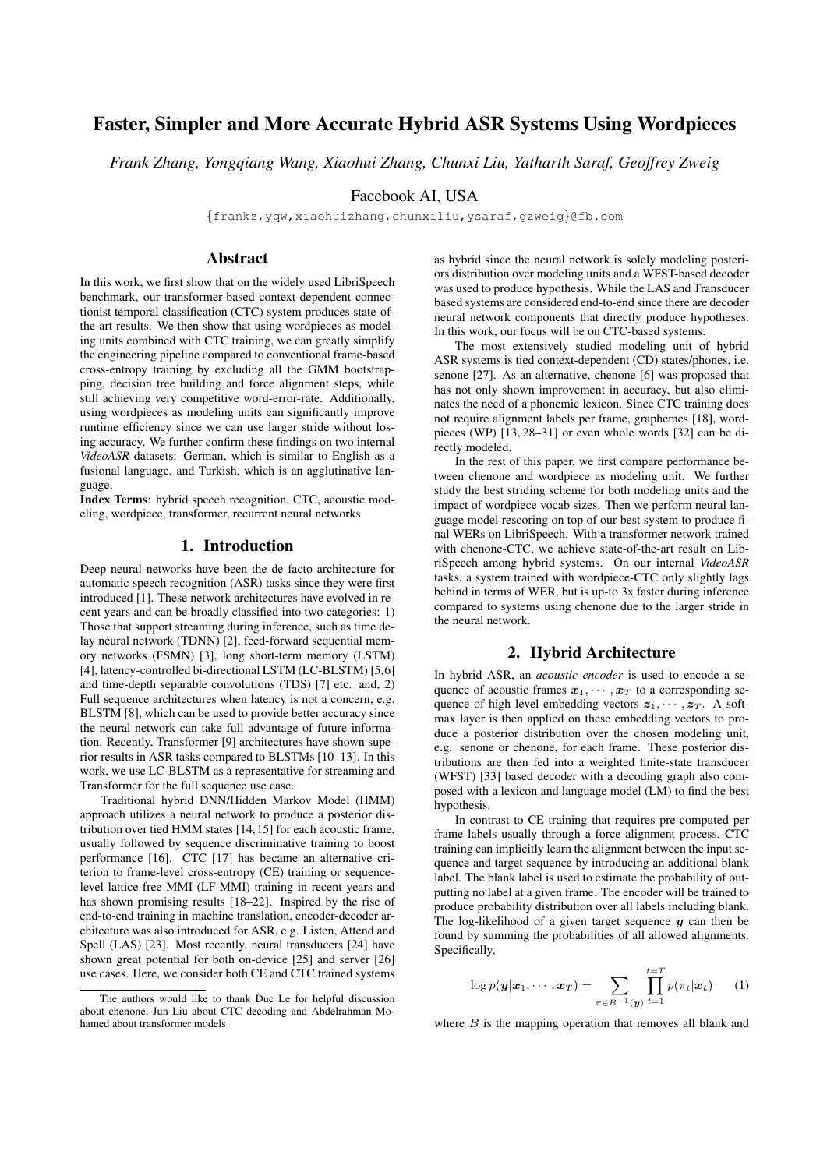# Faster, Simpler and More Accurate Hybrid ASR Systems Using Wordpieces

*Frank Zhang, Yongqiang Wang, Xiaohui Zhang, Chunxi Liu, Yatharth Saraf, Geoffrey Zweig*

Facebook AI, USA

{frankz,yqw,xiaohuizhang,chunxiliu,ysaraf,gzweig}@fb.com

# Abstract

In this work, we first show that on the widely used LibriSpeech benchmark, our transformer-based context-dependent connectionist temporal classification (CTC) system produces state-ofthe-art results. We then show that using wordpieces as modeling units combined with CTC training, we can greatly simplify the engineering pipeline compared to conventional frame-based cross-entropy training by excluding all the GMM bootstrapping, decision tree building and force alignment steps, while still achieving very competitive word-error-rate. Additionally, using wordpieces as modeling units can significantly improve runtime efficiency since we can use larger stride without losing accuracy. We further confirm these findings on two internal *VideoASR* datasets: German, which is similar to English as a fusional language, and Turkish, which is an agglutinative language.

Index Terms: hybrid speech recognition, CTC, acoustic modeling, wordpiece, transformer, recurrent neural networks

# 1. Introduction

Deep neural networks have been the de facto architecture for automatic speech recognition (ASR) tasks since they were first introduced [1]. These network architectures have evolved in recent years and can be broadly classified into two categories: 1) Those that support streaming during inference, such as time delay neural network (TDNN) [2], feed-forward sequential memory networks (FSMN) [3], long short-term memory (LSTM) [4], latency-controlled bi-directional LSTM (LC-BLSTM) [5,6] and time-depth separable convolutions (TDS) [7] etc. and, 2) Full sequence architectures when latency is not a concern, e.g. BLSTM [8], which can be used to provide better accuracy since the neural network can take full advantage of future information. Recently, Transformer [9] architectures have shown superior results in ASR tasks compared to BLSTMs [10–13]. In this work, we use LC-BLSTM as a representative for streaming and Transformer for the full sequence use case.

Traditional hybrid DNN/Hidden Markov Model (HMM) approach utilizes a neural network to produce a posterior distribution over tied HMM states [14,15] for each acoustic frame, usually followed by sequence discriminative training to boost performance [16]. CTC [17] has became an alternative criterion to frame-level cross-entropy (CE) training or sequencelevel lattice-free MMI (LF-MMI) training in recent years and has shown promising results [18–22]. Inspired by the rise of end-to-end training in machine translation, encoder-decoder architecture was also introduced for ASR, e.g. Listen, Attend and Spell (LAS) [23]. Most recently, neural transducers [24] have shown great potential for both on-device [25] and server [26] use cases. Here, we consider both CE and CTC trained systems

as hybrid since the neural network is solely modeling posteriors distribution over modeling units and a WFST-based decoder was used to produce hypothesis. While the LAS and Transducer based systems are considered end-to-end since there are decoder neural network components that directly produce hypotheses. In this work, our focus will be on CTC-based systems.

The most extensively studied modeling unit of hybrid ASR systems is tied context-dependent (CD) states/phones, i.e. senone [27]. As an alternative, chenone [6] was proposed that has not only shown improvement in accuracy, but also eliminates the need of a phonemic lexicon. Since CTC training does not require alignment labels per frame, graphemes [18], wordpieces (WP) [13, 28–31] or even whole words [32] can be directly modeled.

In the rest of this paper, we first compare performance between chenone and wordpiece as modeling unit. We further study the best striding scheme for both modeling units and the impact of wordpiece vocab sizes. Then we perform neural language model rescoring on top of our best system to produce final WERs on LibriSpeech. With a transformer network trained with chenone-CTC, we achieve state-of-the-art result on LibriSpeech among hybrid systems. On our internal *VideoASR* tasks, a system trained with wordpiece-CTC only slightly lags behind in terms of WER, but is up-to 3x faster during inference compared to systems using chenone due to the larger stride in the neural network.

### 2. Hybrid Architecture

In hybrid ASR, an *acoustic encoder* is used to encode a sequence of acoustic frames  $x_1, \dots, x_T$  to a corresponding sequence of high level embedding vectors  $z_1, \dots, z_T$ . A softmax layer is then applied on these embedding vectors to produce a posterior distribution over the chosen modeling unit, e.g. senone or chenone, for each frame. These posterior distributions are then fed into a weighted finite-state transducer (WFST) [33] based decoder with a decoding graph also composed with a lexicon and language model (LM) to find the best hypothesis.

In contrast to CE training that requires pre-computed per frame labels usually through a force alignment process, CTC training can implicitly learn the alignment between the input sequence and target sequence by introducing an additional blank label. The blank label is used to estimate the probability of outputting no label at a given frame. The encoder will be trained to produce probability distribution over all labels including blank. The log-likelihood of a given target sequence  $y$  can then be found by summing the probabilities of all allowed alignments. Specifically,

$$
\log p(\boldsymbol{y}|\boldsymbol{x}_1,\cdots,\boldsymbol{x}_T) = \sum_{\pi \in B^{-1}(\boldsymbol{y})} \prod_{t=1}^{t=T} p(\pi_t|\boldsymbol{x_t}) \qquad (1)
$$

where  $B$  is the mapping operation that removes all blank and

The authors would like to thank Duc Le for helpful discussion about chenone, Jun Liu about CTC decoding and Abdelrahman Mohamed about transformer models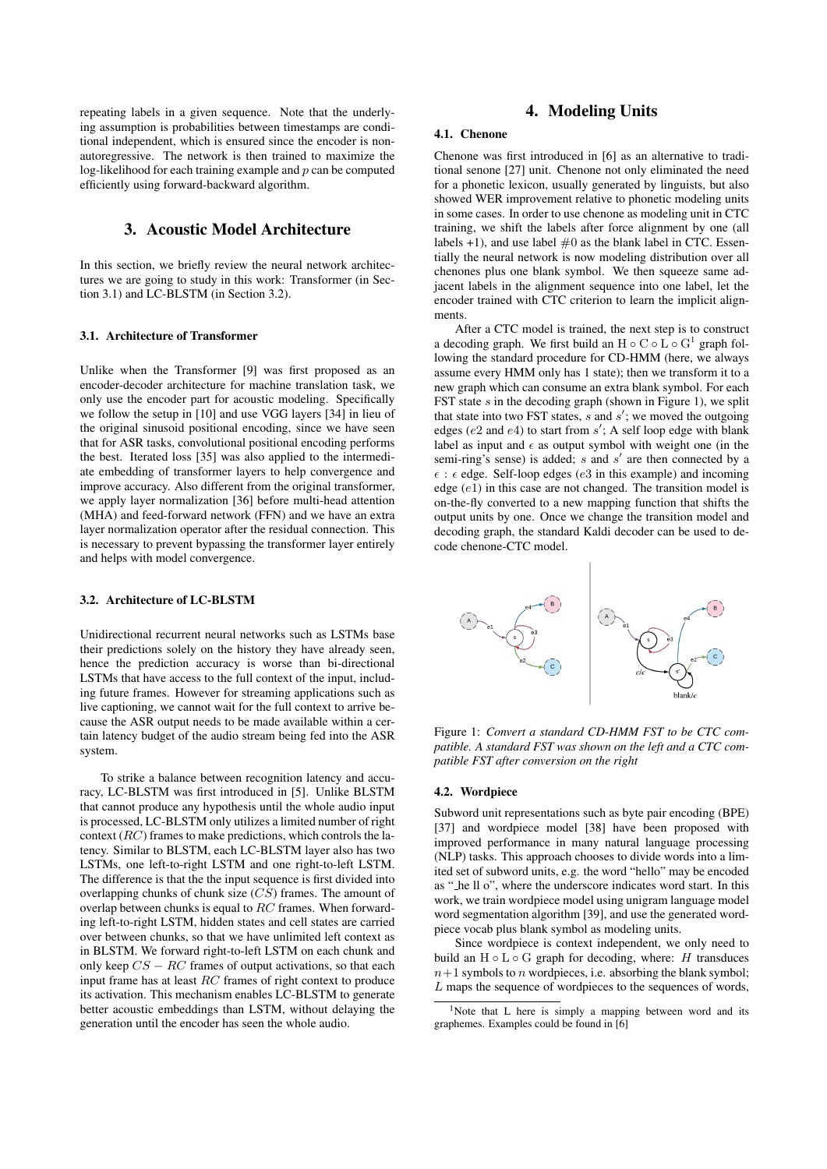repeating labels in a given sequence. Note that the underlying assumption is probabilities between timestamps are conditional independent, which is ensured since the encoder is nonautoregressive. The network is then trained to maximize the log-likelihood for each training example and  $p$  can be computed efficiently using forward-backward algorithm.

# 3. Acoustic Model Architecture

In this section, we briefly review the neural network architectures we are going to study in this work: Transformer (in Section 3.1) and LC-BLSTM (in Section 3.2).

### 3.1. Architecture of Transformer

Unlike when the Transformer [9] was first proposed as an encoder-decoder architecture for machine translation task, we only use the encoder part for acoustic modeling. Specifically we follow the setup in [10] and use VGG layers [34] in lieu of the original sinusoid positional encoding, since we have seen that for ASR tasks, convolutional positional encoding performs the best. Iterated loss [35] was also applied to the intermediate embedding of transformer layers to help convergence and improve accuracy. Also different from the original transformer, we apply layer normalization [36] before multi-head attention (MHA) and feed-forward network (FFN) and we have an extra layer normalization operator after the residual connection. This is necessary to prevent bypassing the transformer layer entirely and helps with model convergence.

#### 3.2. Architecture of LC-BLSTM

Unidirectional recurrent neural networks such as LSTMs base their predictions solely on the history they have already seen, hence the prediction accuracy is worse than bi-directional LSTMs that have access to the full context of the input, including future frames. However for streaming applications such as live captioning, we cannot wait for the full context to arrive because the ASR output needs to be made available within a certain latency budget of the audio stream being fed into the ASR system.

To strike a balance between recognition latency and accuracy, LC-BLSTM was first introduced in [5]. Unlike BLSTM that cannot produce any hypothesis until the whole audio input is processed, LC-BLSTM only utilizes a limited number of right context  $(RC)$  frames to make predictions, which controls the latency. Similar to BLSTM, each LC-BLSTM layer also has two LSTMs, one left-to-right LSTM and one right-to-left LSTM. The difference is that the the input sequence is first divided into overlapping chunks of chunk size  $(C\bar{S})$  frames. The amount of overlap between chunks is equal to RC frames. When forwarding left-to-right LSTM, hidden states and cell states are carried over between chunks, so that we have unlimited left context as in BLSTM. We forward right-to-left LSTM on each chunk and only keep  $CS - RC$  frames of output activations, so that each input frame has at least  $RC$  frames of right context to produce its activation. This mechanism enables LC-BLSTM to generate better acoustic embeddings than LSTM, without delaying the generation until the encoder has seen the whole audio.

# 4. Modeling Units

### 4.1. Chenone

Chenone was first introduced in [6] as an alternative to traditional senone [27] unit. Chenone not only eliminated the need for a phonetic lexicon, usually generated by linguists, but also showed WER improvement relative to phonetic modeling units in some cases. In order to use chenone as modeling unit in CTC training, we shift the labels after force alignment by one (all labels  $+1$ ), and use label  $\#0$  as the blank label in CTC. Essentially the neural network is now modeling distribution over all chenones plus one blank symbol. We then squeeze same adjacent labels in the alignment sequence into one label, let the encoder trained with CTC criterion to learn the implicit alignments.

After a CTC model is trained, the next step is to construct a decoding graph. We first build an  $H \circ C \circ L \circ G^1$  graph following the standard procedure for CD-HMM (here, we always assume every HMM only has 1 state); then we transform it to a new graph which can consume an extra blank symbol. For each FST state  $s$  in the decoding graph (shown in Figure 1), we split that state into two FST states,  $s$  and  $s'$ ; we moved the outgoing edges ( $e2$  and  $e4$ ) to start from  $s'$ ; A self loop edge with blank label as input and  $\epsilon$  as output symbol with weight one (in the semi-ring's sense) is added;  $s$  and  $s'$  are then connected by a  $\epsilon$ :  $\epsilon$  edge. Self-loop edges (e3 in this example) and incoming edge  $(e1)$  in this case are not changed. The transition model is on-the-fly converted to a new mapping function that shifts the output units by one. Once we change the transition model and decoding graph, the standard Kaldi decoder can be used to decode chenone-CTC model.



Figure 1: *Convert a standard CD-HMM FST to be CTC compatible. A standard FST was shown on the left and a CTC compatible FST after conversion on the right*

#### 4.2. Wordpiece

Subword unit representations such as byte pair encoding (BPE) [37] and wordpiece model [38] have been proposed with improved performance in many natural language processing (NLP) tasks. This approach chooses to divide words into a limited set of subword units, e.g. the word "hello" may be encoded as " he ll o", where the underscore indicates word start. In this work, we train wordpiece model using unigram language model word segmentation algorithm [39], and use the generated wordpiece vocab plus blank symbol as modeling units.

Since wordpiece is context independent, we only need to build an  $H \circ L \circ G$  graph for decoding, where: H transduces  $n+1$  symbols to n wordpieces, i.e. absorbing the blank symbol; L maps the sequence of wordpieces to the sequences of words,

<sup>&</sup>lt;sup>1</sup>Note that L here is simply a mapping between word and its graphemes. Examples could be found in [6]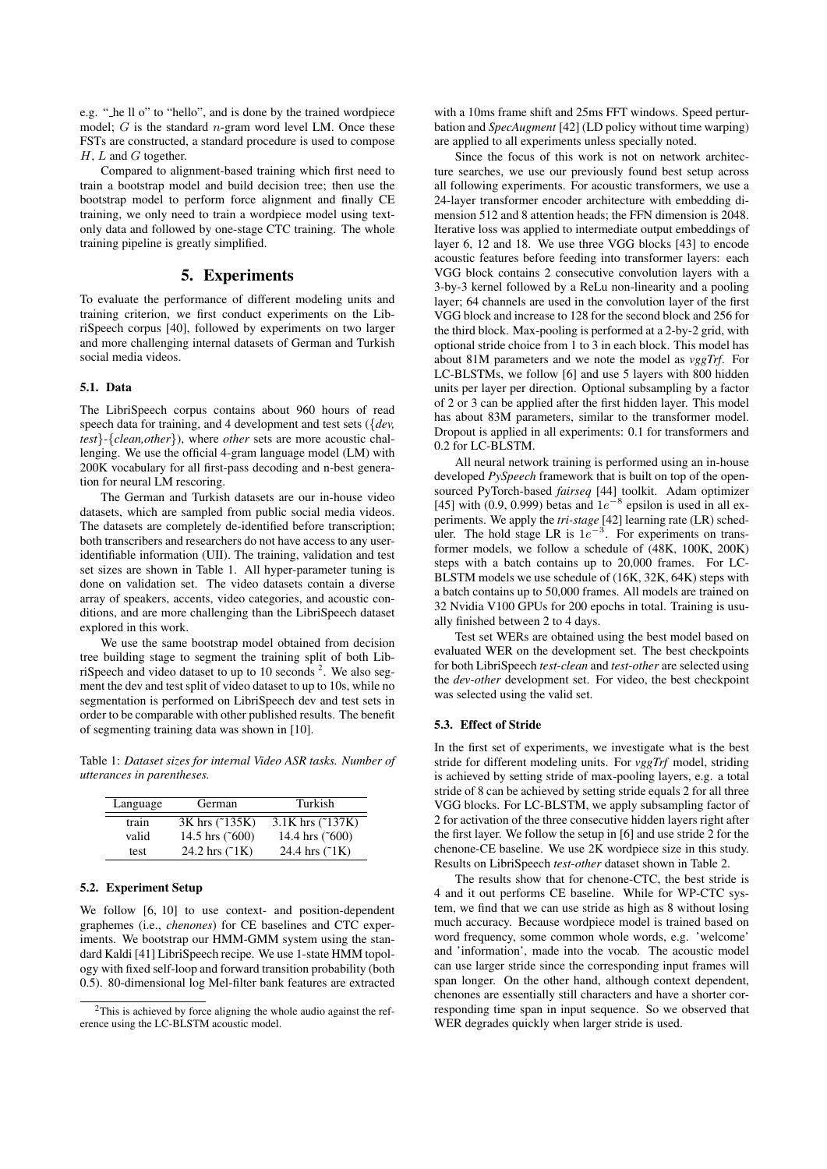e.g. " he ll o" to "hello", and is done by the trained wordpiece model;  $G$  is the standard  $n$ -gram word level LM. Once these FSTs are constructed, a standard procedure is used to compose  $H, L$  and  $G$  together.

Compared to alignment-based training which first need to train a bootstrap model and build decision tree; then use the bootstrap model to perform force alignment and finally CE training, we only need to train a wordpiece model using textonly data and followed by one-stage CTC training. The whole training pipeline is greatly simplified.

# 5. Experiments

To evaluate the performance of different modeling units and training criterion, we first conduct experiments on the LibriSpeech corpus [40], followed by experiments on two larger and more challenging internal datasets of German and Turkish social media videos.

# 5.1. Data

The LibriSpeech corpus contains about 960 hours of read speech data for training, and 4 development and test sets ({*dev, test*}*-*{*clean,other*}), where *other* sets are more acoustic challenging. We use the official 4-gram language model (LM) with 200K vocabulary for all first-pass decoding and n-best generation for neural LM rescoring.

The German and Turkish datasets are our in-house video datasets, which are sampled from public social media videos. The datasets are completely de-identified before transcription; both transcribers and researchers do not have access to any useridentifiable information (UII). The training, validation and test set sizes are shown in Table 1. All hyper-parameter tuning is done on validation set. The video datasets contain a diverse array of speakers, accents, video categories, and acoustic conditions, and are more challenging than the LibriSpeech dataset explored in this work.

We use the same bootstrap model obtained from decision tree building stage to segment the training split of both LibriSpeech and video dataset to up to 10 seconds  $2$ . We also segment the dev and test split of video dataset to up to 10s, while no segmentation is performed on LibriSpeech dev and test sets in order to be comparable with other published results. The benefit of segmenting training data was shown in [10].

Table 1: *Dataset sizes for internal Video ASR tasks. Number of utterances in parentheses.*

| Language | German                  | Turkish                    |
|----------|-------------------------|----------------------------|
| train    | 3K hrs (~135K)          | 3.1K hrs $(^{^\circ}137K)$ |
| valid    | 14.5 hrs (~600)         | 14.4 hrs $(500)$           |
| test     | 24.2 hrs $(^{\circ}1K)$ | 24.4 hrs $(^{\circ}1K)$    |

### 5.2. Experiment Setup

We follow [6, 10] to use context- and position-dependent graphemes (i.e., *chenones*) for CE baselines and CTC experiments. We bootstrap our HMM-GMM system using the standard Kaldi [41] LibriSpeech recipe. We use 1-state HMM topology with fixed self-loop and forward transition probability (both 0.5). 80-dimensional log Mel-filter bank features are extracted

with a 10ms frame shift and 25ms FFT windows. Speed perturbation and *SpecAugment* [42] (LD policy without time warping) are applied to all experiments unless specially noted.

Since the focus of this work is not on network architecture searches, we use our previously found best setup across all following experiments. For acoustic transformers, we use a 24-layer transformer encoder architecture with embedding dimension 512 and 8 attention heads; the FFN dimension is 2048. Iterative loss was applied to intermediate output embeddings of layer 6, 12 and 18. We use three VGG blocks [43] to encode acoustic features before feeding into transformer layers: each VGG block contains 2 consecutive convolution layers with a 3-by-3 kernel followed by a ReLu non-linearity and a pooling layer; 64 channels are used in the convolution layer of the first VGG block and increase to 128 for the second block and 256 for the third block. Max-pooling is performed at a 2-by-2 grid, with optional stride choice from 1 to 3 in each block. This model has about 81M parameters and we note the model as *vggTrf*. For LC-BLSTMs, we follow [6] and use 5 layers with 800 hidden units per layer per direction. Optional subsampling by a factor of 2 or 3 can be applied after the first hidden layer. This model has about 83M parameters, similar to the transformer model. Dropout is applied in all experiments: 0.1 for transformers and 0.2 for LC-BLSTM.

All neural network training is performed using an in-house developed *PySpeech* framework that is built on top of the opensourced PyTorch-based *fairseq* [44] toolkit. Adam optimizer [45] with (0.9, 0.999) betas and  $1e^{-8}$  epsilon is used in all experiments. We apply the *tri-stage* [42] learning rate (LR) scheduler. The hold stage LR is  $1e^{-3}$ . For experiments on transformer models, we follow a schedule of (48K, 100K, 200K) steps with a batch contains up to 20,000 frames. For LC-BLSTM models we use schedule of (16K, 32K, 64K) steps with a batch contains up to 50,000 frames. All models are trained on 32 Nvidia V100 GPUs for 200 epochs in total. Training is usually finished between 2 to 4 days.

Test set WERs are obtained using the best model based on evaluated WER on the development set. The best checkpoints for both LibriSpeech *test-clean* and *test-other* are selected using the *dev-other* development set. For video, the best checkpoint was selected using the valid set.

#### 5.3. Effect of Stride

In the first set of experiments, we investigate what is the best stride for different modeling units. For *vggTrf* model, striding is achieved by setting stride of max-pooling layers, e.g. a total stride of 8 can be achieved by setting stride equals 2 for all three VGG blocks. For LC-BLSTM, we apply subsampling factor of 2 for activation of the three consecutive hidden layers right after the first layer. We follow the setup in [6] and use stride 2 for the chenone-CE baseline. We use 2K wordpiece size in this study. Results on LibriSpeech *test-other* dataset shown in Table 2.

The results show that for chenone-CTC, the best stride is 4 and it out performs CE baseline. While for WP-CTC system, we find that we can use stride as high as 8 without losing much accuracy. Because wordpiece model is trained based on word frequency, some common whole words, e.g. 'welcome' and 'information', made into the vocab. The acoustic model can use larger stride since the corresponding input frames will span longer. On the other hand, although context dependent, chenones are essentially still characters and have a shorter corresponding time span in input sequence. So we observed that WER degrades quickly when larger stride is used.

<sup>&</sup>lt;sup>2</sup>This is achieved by force aligning the whole audio against the reference using the LC-BLSTM acoustic model.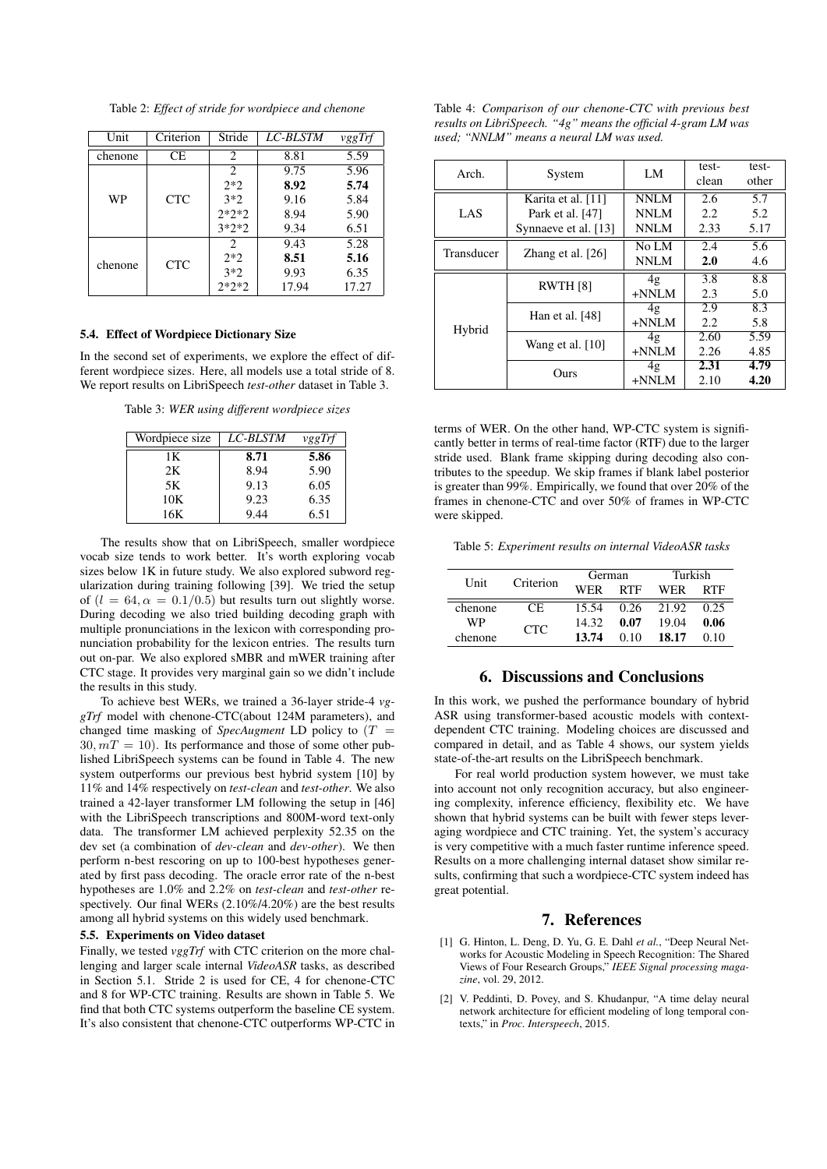Table 2: *Effect of stride for wordpiece and chenone*

| Unit    | Criterion  | Stride                        | <i>LC-BLSTM</i> | vggTrf |
|---------|------------|-------------------------------|-----------------|--------|
| chenone | СE         | 2                             | 8.81            | 5.59   |
|         |            | $\mathfrak{D}_{\mathfrak{p}}$ | 9.75            | 5.96   |
| WP      | <b>CTC</b> | $2*2$                         | 8.92            | 5.74   |
|         |            | $3*2$                         | 9.16            | 5.84   |
|         |            | $2*2*2$                       | 8.94            | 5.90   |
|         |            | $3*2*2$                       | 9.34            | 6.51   |
| chenone |            | $\mathfrak{D}_{\mathfrak{p}}$ | 9.43            | 5.28   |
|         | <b>CTC</b> | $2*2$                         | 8.51            | 5.16   |
|         |            | $3*2$                         | 9.93            | 6.35   |
|         |            | $2*2*2$                       | 17.94           | 17.27  |

#### 5.4. Effect of Wordpiece Dictionary Size

In the second set of experiments, we explore the effect of different wordpiece sizes. Here, all models use a total stride of 8. We report results on LibriSpeech *test-other* dataset in Table 3.

Table 3: *WER using different wordpiece sizes*

| Wordpiece size | <i>LC-BLSTM</i> | vggTrf |
|----------------|-----------------|--------|
| 1Κ             | 8.71            | 5.86   |
| 2K             | 8.94            | 5.90   |
| 5Κ             | 9.13            | 6.05   |
| 10K            | 9.23            | 6.35   |
| 16K            | 9.44            | 6.51   |

The results show that on LibriSpeech, smaller wordpiece vocab size tends to work better. It's worth exploring vocab sizes below 1K in future study. We also explored subword regularization during training following [39]. We tried the setup of  $(l = 64, \alpha = 0.1/0.5)$  but results turn out slightly worse. During decoding we also tried building decoding graph with multiple pronunciations in the lexicon with corresponding pronunciation probability for the lexicon entries. The results turn out on-par. We also explored sMBR and mWER training after CTC stage. It provides very marginal gain so we didn't include the results in this study.

To achieve best WERs, we trained a 36-layer stride-4 *vggTrf* model with chenone-CTC(about 124M parameters), and changed time masking of *SpecAugment* LD policy to  $(T =$  $30, mT = 10$ ). Its performance and those of some other published LibriSpeech systems can be found in Table 4. The new system outperforms our previous best hybrid system [10] by 11% and 14% respectively on *test-clean* and *test-other*. We also trained a 42-layer transformer LM following the setup in [46] with the LibriSpeech transcriptions and 800M-word text-only data. The transformer LM achieved perplexity 52.35 on the dev set (a combination of *dev-clean* and *dev-other*). We then perform n-best rescoring on up to 100-best hypotheses generated by first pass decoding. The oracle error rate of the n-best hypotheses are 1.0% and 2.2% on *test-clean* and *test-other* respectively. Our final WERs  $(2.10\%/4.20\%)$  are the best results among all hybrid systems on this widely used benchmark.

### 5.5. Experiments on Video dataset

Finally, we tested *vggTrf* with CTC criterion on the more challenging and larger scale internal *VideoASR* tasks, as described in Section 5.1. Stride 2 is used for CE, 4 for chenone-CTC and 8 for WP-CTC training. Results are shown in Table 5. We find that both CTC systems outperform the baseline CE system. It's also consistent that chenone-CTC outperforms WP-CTC in

| Table 4: <i>Comparison of our chenone-CTC</i> with previous best |
|------------------------------------------------------------------|
| results on LibriSpeech. "4g" means the official 4-gram LM was    |
| used: "NNLM" means a neural LM was used.                         |

| Arch.      | System               | LM             | test-<br>clean   | test-<br>other |
|------------|----------------------|----------------|------------------|----------------|
|            | Karita et al. [11]   | NNLM           | 2.6              | 5.7            |
| LAS        | Park et al. [47]     | NNLM           | 2.2              | 5.2            |
|            | Synnaeve et al. [13] | <b>NNLM</b>    | 2.33             | 5.17           |
| Transducer | Zhang et al. $[26]$  | No LM          | 2.4              | 5.6            |
|            |                      | NNLM           | 2.0              | 4.6            |
| Hybrid     | <b>RWTH [8]</b>      | 4 <sub>g</sub> | 3.8              | 8.8            |
|            |                      | $+NNLM$        | 2.3              | 5.0            |
|            | Han et al. [48]      | 4 <sub>g</sub> | $\overline{2.9}$ | 8.3            |
|            |                      | $+NNLM$        | 2.2              | 5.8            |
|            | Wang et al. [10]     | 4 <sub>g</sub> | 2.60             | 5.59           |
|            |                      | $+NNLM$        | 2.26             | 4.85           |
|            | Ours                 | 4 <sub>g</sub> | 2.31             | 4.79           |
|            |                      | $+NNLM$        | 2.10             | 4.20           |

terms of WER. On the other hand, WP-CTC system is significantly better in terms of real-time factor (RTF) due to the larger stride used. Blank frame skipping during decoding also contributes to the speedup. We skip frames if blank label posterior is greater than 99%. Empirically, we found that over 20% of the frames in chenone-CTC and over 50% of frames in WP-CTC were skipped.

Table 5: *Experiment results on internal VideoASR tasks*

| Unit    | Criterion  | German     |            | Turkish |      |
|---------|------------|------------|------------|---------|------|
|         |            | <b>WER</b> | <b>RTF</b> | WER     | RTF  |
| chenone | CE.        | 15.54      | 0.26       | 21.92   | 0.25 |
| WP      | <b>CTC</b> | 14.32      | 0.07       | 19.04   | 0.06 |
| chenone |            | 13.74      | 010        | 18.17   | 0.10 |

# 6. Discussions and Conclusions

In this work, we pushed the performance boundary of hybrid ASR using transformer-based acoustic models with contextdependent CTC training. Modeling choices are discussed and compared in detail, and as Table 4 shows, our system yields state-of-the-art results on the LibriSpeech benchmark.

For real world production system however, we must take into account not only recognition accuracy, but also engineering complexity, inference efficiency, flexibility etc. We have shown that hybrid systems can be built with fewer steps leveraging wordpiece and CTC training. Yet, the system's accuracy is very competitive with a much faster runtime inference speed. Results on a more challenging internal dataset show similar results, confirming that such a wordpiece-CTC system indeed has great potential.

### 7. References

- [1] G. Hinton, L. Deng, D. Yu, G. E. Dahl *et al.*, "Deep Neural Networks for Acoustic Modeling in Speech Recognition: The Shared Views of Four Research Groups," *IEEE Signal processing magazine*, vol. 29, 2012.
- [2] V. Peddinti, D. Povey, and S. Khudanpur, "A time delay neural network architecture for efficient modeling of long temporal contexts," in *Proc. Interspeech*, 2015.